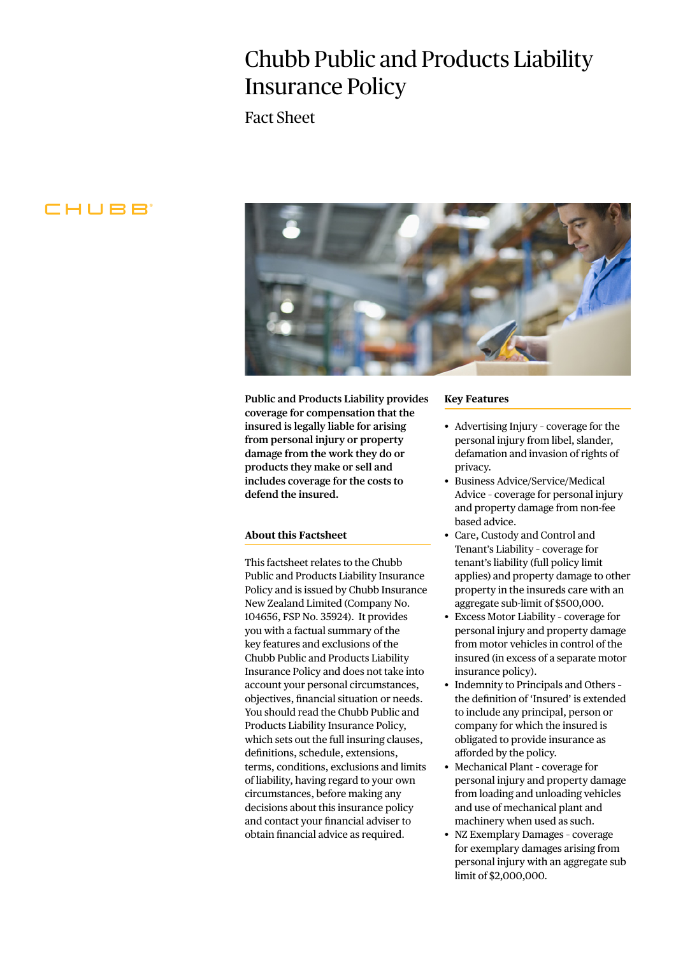# Chubb Public and Products Liability Insurance Policy

Fact Sheet

# CHUBB



**Public and Products Liability provides coverage for compensation that the insured is legally liable for arising from personal injury or property damage from the work they do or products they make or sell and includes coverage for the costs to defend the insured.**

## **About this Factsheet**

This factsheet relates to the Chubb Public and Products Liability Insurance Policy and is issued by Chubb Insurance New Zealand Limited (Company No. 104656, FSP No. 35924). It provides you with a factual summary of the key features and exclusions of the Chubb Public and Products Liability Insurance Policy and does not take into account your personal circumstances, objectives, financial situation or needs. You should read the Chubb Public and Products Liability Insurance Policy, which sets out the full insuring clauses, definitions, schedule, extensions, terms, conditions, exclusions and limits of liability, having regard to your own circumstances, before making any decisions about this insurance policy and contact your financial adviser to obtain financial advice as required.

#### **Key Features**

- Advertising Injury coverage for the personal injury from libel, slander, defamation and invasion of rights of privacy.
- Business Advice/Service/Medical Advice – coverage for personal injury and property damage from non-fee based advice.
- Care, Custody and Control and Tenant's Liability – coverage for tenant's liability (full policy limit applies) and property damage to other property in the insureds care with an aggregate sub-limit of \$500,000.
- Excess Motor Liability coverage for personal injury and property damage from motor vehicles in control of the insured (in excess of a separate motor insurance policy).
- Indemnity to Principals and Others the definition of 'Insured' is extended to include any principal, person or company for which the insured is obligated to provide insurance as afforded by the policy.
- Mechanical Plant coverage for personal injury and property damage from loading and unloading vehicles and use of mechanical plant and machinery when used as such.
- NZ Exemplary Damages coverage for exemplary damages arising from personal injury with an aggregate sub limit of \$2,000,000.